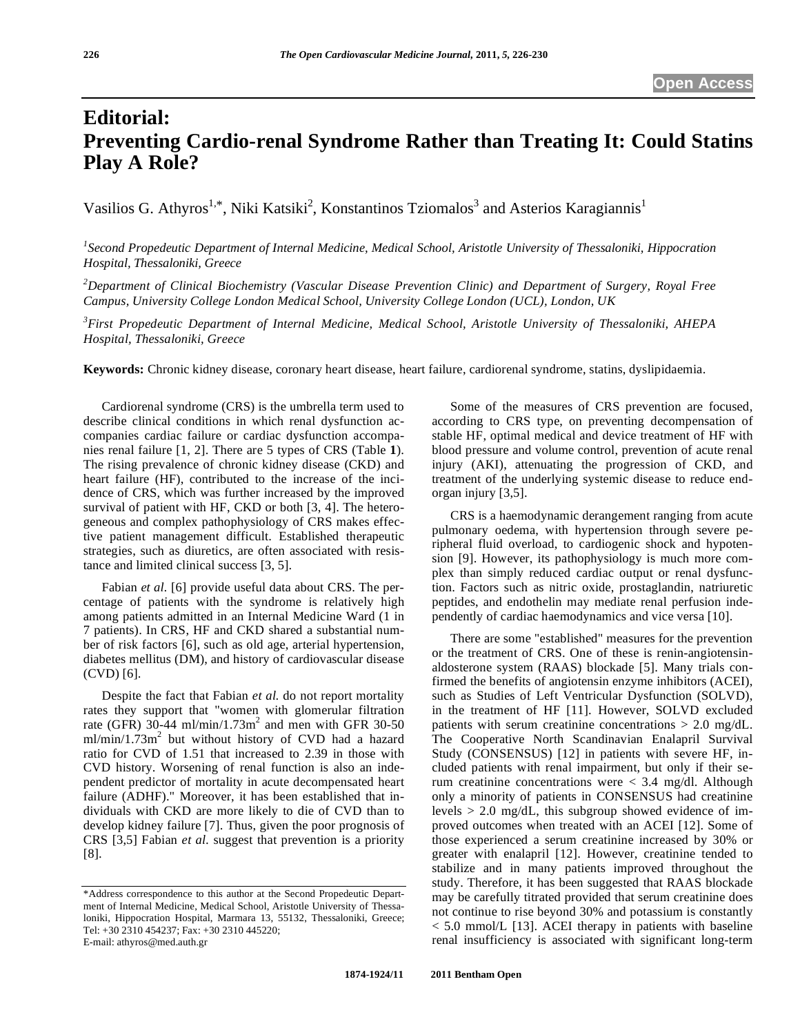# **Editorial: Preventing Cardio-renal Syndrome Rather than Treating It: Could Statins Play A Role?**

Vasilios G. Athyros<sup>1,\*</sup>, Niki Katsiki<sup>2</sup>, Konstantinos Tziomalos<sup>3</sup> and Asterios Karagiannis<sup>1</sup>

<sup>1</sup> Second Propedeutic Department of Internal Medicine, Medical School, Aristotle University of Thessaloniki, Hippocration *Hospital, Thessaloniki, Greece* 

*2 Department of Clinical Biochemistry (Vascular Disease Prevention Clinic) and Department of Surgery, Royal Free Campus, University College London Medical School, University College London (UCL), London, UK* 

*3 First Propedeutic Department of Internal Medicine, Medical School, Aristotle University of Thessaloniki, AHEPA Hospital, Thessaloniki, Greece* 

**Keywords:** Chronic kidney disease, coronary heart disease, heart failure, cardiorenal syndrome, statins, dyslipidaemia.

 Cardiorenal syndrome (CRS) is the umbrella term used to describe clinical conditions in which renal dysfunction accompanies cardiac failure or cardiac dysfunction accompanies renal failure [1, 2]. There are 5 types of CRS (Table **1**). The rising prevalence of chronic kidney disease (CKD) and heart failure (HF), contributed to the increase of the incidence of CRS, which was further increased by the improved survival of patient with HF, CKD or both [3, 4]. The heterogeneous and complex pathophysiology of CRS makes effective patient management difficult. Established therapeutic strategies, such as diuretics, are often associated with resistance and limited clinical success [3, 5].

 Fabian *et al.* [6] provide useful data about CRS. The percentage of patients with the syndrome is relatively high among patients admitted in an Internal Medicine Ward (1 in 7 patients). In CRS, HF and CKD shared a substantial number of risk factors [6], such as old age, arterial hypertension, diabetes mellitus (DM), and history of cardiovascular disease (CVD) [6].

 Despite the fact that Fabian *et al.* do not report mortality rates they support that "women with glomerular filtration rate (GFR)  $30-44$  ml/min/1.73m<sup>2</sup> and men with GFR 30-50  $ml/min/1.73m<sup>2</sup>$  but without history of CVD had a hazard ratio for CVD of 1.51 that increased to 2.39 in those with CVD history. Worsening of renal function is also an independent predictor of mortality in acute decompensated heart failure (ADHF)." Moreover, it has been established that individuals with CKD are more likely to die of CVD than to develop kidney failure [7]. Thus, given the poor prognosis of CRS [3,5] Fabian *et al.* suggest that prevention is a priority [8].

 Some of the measures of CRS prevention are focused, according to CRS type, on preventing decompensation of stable HF, optimal medical and device treatment of HF with blood pressure and volume control, prevention of acute renal injury (AKI), attenuating the progression of CKD, and treatment of the underlying systemic disease to reduce endorgan injury [3,5].

 CRS is a haemodynamic derangement ranging from acute pulmonary oedema, with hypertension through severe peripheral fluid overload, to cardiogenic shock and hypotension [9]. However, its pathophysiology is much more complex than simply reduced cardiac output or renal dysfunction. Factors such as nitric oxide, prostaglandin, natriuretic peptides, and endothelin may mediate renal perfusion independently of cardiac haemodynamics and vice versa [10].

 There are some "established" measures for the prevention or the treatment of CRS. One of these is renin-angiotensinaldosterone system (RAAS) blockade [5]. Many trials confirmed the benefits of angiotensin enzyme inhibitors (ACEI), such as Studies of Left Ventricular Dysfunction (SOLVD), in the treatment of HF [11]. However, SOLVD excluded patients with serum creatinine concentrations > 2.0 mg/dL. The Cooperative North Scandinavian Enalapril Survival Study (CONSENSUS) [12] in patients with severe HF, included patients with renal impairment, but only if their serum creatinine concentrations were < 3.4 mg/dl. Although only a minority of patients in CONSENSUS had creatinine levels > 2.0 mg/dL, this subgroup showed evidence of improved outcomes when treated with an ACEI [12]. Some of those experienced a serum creatinine increased by 30% or greater with enalapril [12]. However, creatinine tended to stabilize and in many patients improved throughout the study. Therefore, it has been suggested that RAAS blockade may be carefully titrated provided that serum creatinine does not continue to rise beyond 30% and potassium is constantly < 5.0 mmol/L [13]. ACEI therapy in patients with baseline renal insufficiency is associated with significant long-term

<sup>\*</sup>Address correspondence to this author at the Second Propedeutic Department of Internal Medicine, Medical School, Aristotle University of Thessaloniki, Hippocration Hospital, Marmara 13, 55132, Thessaloniki, Greece; Tel: +30 2310 454237; Fax: +30 2310 445220; E-mail: athyros@med.auth.gr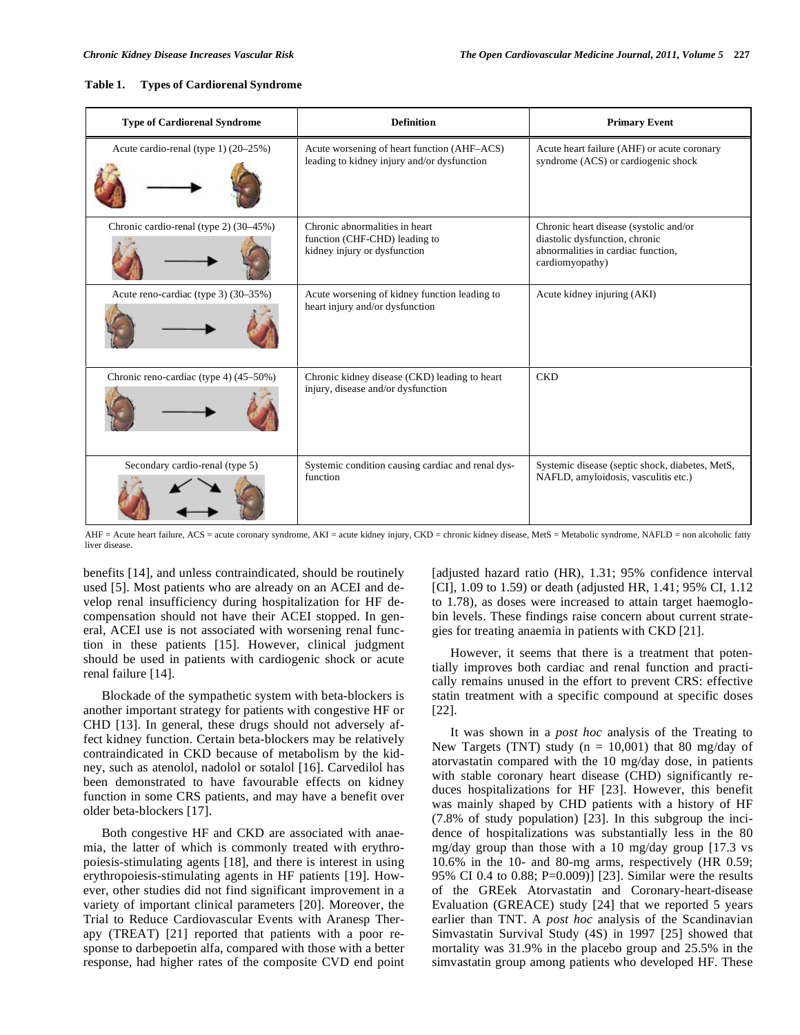| Table 1. |  | <b>Types of Cardiorenal Syndrome</b> |
|----------|--|--------------------------------------|
|----------|--|--------------------------------------|

| <b>Type of Cardiorenal Syndrome</b>    | <b>Definition</b>                                                                               | <b>Primary Event</b>                                                                                                              |
|----------------------------------------|-------------------------------------------------------------------------------------------------|-----------------------------------------------------------------------------------------------------------------------------------|
| Acute cardio-renal (type 1) (20–25%)   | Acute worsening of heart function (AHF–ACS)<br>leading to kidney injury and/or dysfunction      | Acute heart failure (AHF) or acute coronary<br>syndrome (ACS) or cardiogenic shock                                                |
| Chronic cardio-renal (type 2) (30–45%) | Chronic abnormalities in heart<br>function (CHF-CHD) leading to<br>kidney injury or dysfunction | Chronic heart disease (systolic and/or<br>diastolic dysfunction, chronic<br>abnormalities in cardiac function,<br>cardiomyopathy) |
| Acute reno-cardiac (type 3) (30-35%)   | Acute worsening of kidney function leading to<br>heart injury and/or dysfunction                | Acute kidney injuring (AKI)                                                                                                       |
| Chronic reno-cardiac (type 4) (45–50%) | Chronic kidney disease (CKD) leading to heart<br>injury, disease and/or dysfunction             | <b>CKD</b>                                                                                                                        |
| Secondary cardio-renal (type 5)        | Systemic condition causing cardiac and renal dys-<br>function                                   | Systemic disease (septic shock, diabetes, MetS,<br>NAFLD, amyloidosis, vasculitis etc.)                                           |

AHF = Acute heart failure, ACS = acute coronary syndrome, AKI = acute kidney injury, CKD = chronic kidney disease, MetS = Metabolic syndrome, NAFLD = non alcoholic fatty liver disease.

benefits [14], and unless contraindicated, should be routinely used [5]. Most patients who are already on an ACEI and develop renal insufficiency during hospitalization for HF decompensation should not have their ACEI stopped. In general, ACEI use is not associated with worsening renal function in these patients [15]. However, clinical judgment should be used in patients with cardiogenic shock or acute renal failure [14].

 Blockade of the sympathetic system with beta-blockers is another important strategy for patients with congestive HF or CHD [13]. In general, these drugs should not adversely affect kidney function. Certain beta-blockers may be relatively contraindicated in CKD because of metabolism by the kidney, such as atenolol, nadolol or sotalol [16]. Carvedilol has been demonstrated to have favourable effects on kidney function in some CRS patients, and may have a benefit over older beta-blockers [17].

 Both congestive HF and CKD are associated with anaemia, the latter of which is commonly treated with erythropoiesis-stimulating agents [18], and there is interest in using erythropoiesis-stimulating agents in HF patients [19]. However, other studies did not find significant improvement in a variety of important clinical parameters [20]. Moreover, the Trial to Reduce Cardiovascular Events with Aranesp Therapy (TREAT) [21] reported that patients with a poor response to darbepoetin alfa, compared with those with a better response, had higher rates of the composite CVD end point [adjusted hazard ratio (HR), 1.31; 95% confidence interval [CI], 1.09 to 1.59) or death (adjusted HR, 1.41; 95% CI, 1.12 to 1.78), as doses were increased to attain target haemoglobin levels. These findings raise concern about current strategies for treating anaemia in patients with CKD [21].

 However, it seems that there is a treatment that potentially improves both cardiac and renal function and practically remains unused in the effort to prevent CRS: effective statin treatment with a specific compound at specific doses [22].

 It was shown in a *post hoc* analysis of the Treating to New Targets (TNT) study  $(n = 10,001)$  that 80 mg/day of atorvastatin compared with the 10 mg/day dose, in patients with stable coronary heart disease (CHD) significantly reduces hospitalizations for HF [23]. However, this benefit was mainly shaped by CHD patients with a history of HF (7.8% of study population) [23]. In this subgroup the incidence of hospitalizations was substantially less in the 80 mg/day group than those with a 10 mg/day group [17.3 vs 10.6% in the 10- and 80-mg arms, respectively (HR 0.59; 95% CI 0.4 to 0.88; P=0.009)] [23]. Similar were the results of the GREek Atorvastatin and Coronary-heart-disease Evaluation (GREACE) study [24] that we reported 5 years earlier than TNT. A *post hoc* analysis of the Scandinavian Simvastatin Survival Study (4S) in 1997 [25] showed that mortality was 31.9% in the placebo group and 25.5% in the simvastatin group among patients who developed HF. These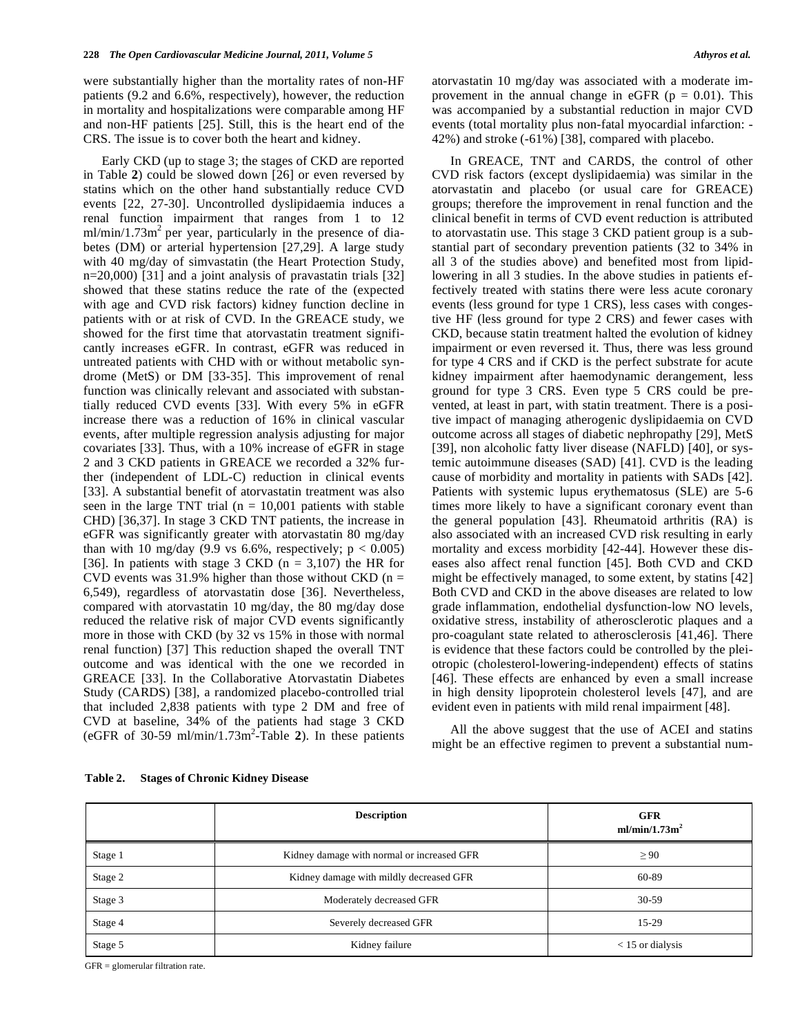were substantially higher than the mortality rates of non-HF patients (9.2 and 6.6%, respectively), however, the reduction in mortality and hospitalizations were comparable among HF and non-HF patients [25]. Still, this is the heart end of the CRS. The issue is to cover both the heart and kidney.

 Early CKD (up to stage 3; the stages of CKD are reported in Table **2**) could be slowed down [26] or even reversed by statins which on the other hand substantially reduce CVD events [22, 27-30]. Uncontrolled dyslipidaemia induces a renal function impairment that ranges from 1 to 12  $m/min/1.73m<sup>2</sup>$  per year, particularly in the presence of diabetes (DM) or arterial hypertension [27,29]. A large study with 40 mg/day of simvastatin (the Heart Protection Study, n=20,000) [31] and a joint analysis of pravastatin trials [32] showed that these statins reduce the rate of the (expected with age and CVD risk factors) kidney function decline in patients with or at risk of CVD. In the GREACE study, we showed for the first time that atorvastatin treatment significantly increases eGFR. In contrast, eGFR was reduced in untreated patients with CHD with or without metabolic syndrome (MetS) or DM [33-35]. This improvement of renal function was clinically relevant and associated with substantially reduced CVD events [33]. With every 5% in eGFR increase there was a reduction of 16% in clinical vascular events, after multiple regression analysis adjusting for major covariates [33]. Thus, with a 10% increase of eGFR in stage 2 and 3 CKD patients in GREACE we recorded a 32% further (independent of LDL-C) reduction in clinical events [33]. A substantial benefit of atorvastatin treatment was also seen in the large TNT trial ( $n = 10,001$  patients with stable CHD) [36,37]. In stage 3 CKD TNT patients, the increase in eGFR was significantly greater with atorvastatin 80 mg/day than with 10 mg/day (9.9 vs 6.6%, respectively;  $p < 0.005$ ) [36]. In patients with stage 3 CKD ( $n = 3,107$ ) the HR for CVD events was  $31.9\%$  higher than those without CKD (n = 6,549), regardless of atorvastatin dose [36]. Nevertheless, compared with atorvastatin 10 mg/day, the 80 mg/day dose reduced the relative risk of major CVD events significantly more in those with CKD (by 32 vs 15% in those with normal renal function) [37] This reduction shaped the overall TNT outcome and was identical with the one we recorded in GREACE [33]. In the Collaborative Atorvastatin Diabetes Study (CARDS) [38], a randomized placebo-controlled trial that included 2,838 patients with type 2 DM and free of CVD at baseline, 34% of the patients had stage 3 CKD (eGFR of 30-59 ml/min/ $1.73$ m<sup>2</sup>-Table 2). In these patients atorvastatin 10 mg/day was associated with a moderate improvement in the annual change in eGFR ( $p = 0.01$ ). This was accompanied by a substantial reduction in major CVD events (total mortality plus non-fatal myocardial infarction: - 42%) and stroke (-61%) [38], compared with placebo.

 In GREACE, TNT and CARDS, the control of other CVD risk factors (except dyslipidaemia) was similar in the atorvastatin and placebo (or usual care for GREACE) groups; therefore the improvement in renal function and the clinical benefit in terms of CVD event reduction is attributed to atorvastatin use. This stage 3 CKD patient group is a substantial part of secondary prevention patients (32 to 34% in all 3 of the studies above) and benefited most from lipidlowering in all 3 studies. In the above studies in patients effectively treated with statins there were less acute coronary events (less ground for type 1 CRS), less cases with congestive HF (less ground for type 2 CRS) and fewer cases with CKD, because statin treatment halted the evolution of kidney impairment or even reversed it. Thus, there was less ground for type 4 CRS and if CKD is the perfect substrate for acute kidney impairment after haemodynamic derangement, less ground for type 3 CRS. Even type 5 CRS could be prevented, at least in part, with statin treatment. There is a positive impact of managing atherogenic dyslipidaemia on CVD outcome across all stages of diabetic nephropathy [29], MetS [39], non alcoholic fatty liver disease (NAFLD) [40], or systemic autoimmune diseases (SAD) [41]. CVD is the leading cause of morbidity and mortality in patients with SADs [42]. Patients with systemic lupus erythematosus (SLE) are 5-6 times more likely to have a significant coronary event than the general population [43]. Rheumatoid arthritis (RA) is also associated with an increased CVD risk resulting in early mortality and excess morbidity [42-44]. However these diseases also affect renal function [45]. Both CVD and CKD might be effectively managed, to some extent, by statins [42] Both CVD and CKD in the above diseases are related to low grade inflammation, endothelial dysfunction-low NO levels, oxidative stress, instability of atherosclerotic plaques and a pro-coagulant state related to atherosclerosis [41,46]. There is evidence that these factors could be controlled by the pleiotropic (cholesterol-lowering-independent) effects of statins [46]. These effects are enhanced by even a small increase in high density lipoprotein cholesterol levels [47], and are evident even in patients with mild renal impairment [48].

 All the above suggest that the use of ACEI and statins might be an effective regimen to prevent a substantial num-

|         | <b>Description</b>                         | <b>GFR</b><br>ml/min/1.73m <sup>2</sup> |
|---------|--------------------------------------------|-----------------------------------------|
| Stage 1 | Kidney damage with normal or increased GFR | $\geq 90$                               |
| Stage 2 | Kidney damage with mildly decreased GFR    | 60-89                                   |
| Stage 3 | Moderately decreased GFR                   | $30-59$                                 |
| Stage 4 | Severely decreased GFR                     | $15-29$                                 |
| Stage 5 | Kidney failure                             | $<$ 15 or dialysis                      |

#### **Table 2. Stages of Chronic Kidney Disease**

GFR = glomerular filtration rate.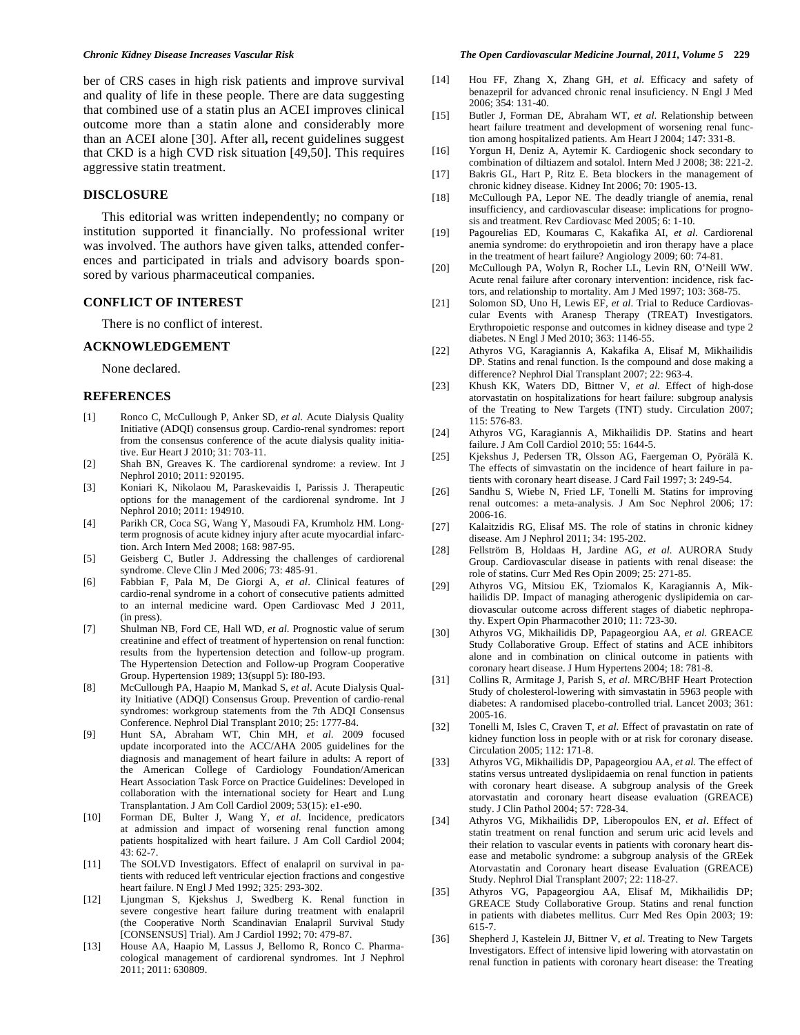ber of CRS cases in high risk patients and improve survival and quality of life in these people. There are data suggesting that combined use of a statin plus an ACEI improves clinical outcome more than a statin alone and considerably more than an ACEI alone [30]. After all**,** recent guidelines suggest that CKD is a high CVD risk situation [49,50]. This requires aggressive statin treatment.

## **DISCLOSURE**

 This editorial was written independently; no company or institution supported it financially. No professional writer was involved. The authors have given talks, attended conferences and participated in trials and advisory boards sponsored by various pharmaceutical companies.

#### **CONFLICT OF INTEREST**

There is no conflict of interest.

#### **ACKNOWLEDGEMENT**

None declared.

### **REFERENCES**

- [1] Ronco C, McCullough P, Anker SD, *et al*. Acute Dialysis Quality Initiative (ADQI) consensus group. Cardio-renal syndromes: report from the consensus conference of the acute dialysis quality initiative. Eur Heart J 2010; 31: 703-11.
- [2] Shah BN, Greaves K. The cardiorenal syndrome: a review. Int J Nephrol 2010; 2011: 920195.
- [3] Koniari K, Nikolaou M, Paraskevaidis I, Parissis J. Therapeutic options for the management of the cardiorenal syndrome. Int J Nephrol 2010; 2011: 194910.
- [4] Parikh CR, Coca SG, Wang Y, Masoudi FA, Krumholz HM. Longterm prognosis of acute kidney injury after acute myocardial infarction. Arch Intern Med 2008; 168: 987-95.
- [5] Geisberg C, Butler J. Addressing the challenges of cardiorenal syndrome. Cleve Clin J Med 2006; 73: 485-91.
- [6] Fabbian F, Pala M, De Giorgi A, *et al*. Clinical features of cardio-renal syndrome in a cohort of consecutive patients admitted to an internal medicine ward. Open Cardiovasc Med J 2011, (in press).
- [7] Shulman NB, Ford CE, Hall WD, *et al*. Prognostic value of serum creatinine and effect of treatment of hypertension on renal function: results from the hypertension detection and follow-up program. The Hypertension Detection and Follow-up Program Cooperative Group. Hypertension 1989; 13(suppl 5): I80-I93.
- [8] McCullough PA, Haapio M, Mankad S, *et al*. Acute Dialysis Quality Initiative (ADQI) Consensus Group. Prevention of cardio-renal syndromes: workgroup statements from the 7th ADQI Consensus Conference. Nephrol Dial Transplant 2010; 25: 1777-84.
- [9] Hunt SA, Abraham WT, Chin MH, *et al*. 2009 focused update incorporated into the ACC/AHA 2005 guidelines for the diagnosis and management of heart failure in adults: A report of the American College of Cardiology Foundation/American Heart Association Task Force on Practice Guidelines: Developed in collaboration with the international society for Heart and Lung Transplantation. J Am Coll Cardiol 2009; 53(15): e1-e90.
- [10] Forman DE, Bulter J, Wang Y, *et al*. Incidence, predicators at admission and impact of worsening renal function among patients hospitalized with heart failure. J Am Coll Cardiol 2004;  $43.62 - 7$
- [11] The SOLVD Investigators. Effect of enalapril on survival in patients with reduced left ventricular ejection fractions and congestive heart failure. N Engl J Med 1992; 325: 293-302.
- [12] Ljungman S, Kjekshus J, Swedberg K. Renal function in severe congestive heart failure during treatment with enalapril (the Cooperative North Scandinavian Enalapril Survival Study [CONSENSUS] Trial). Am J Cardiol 1992; 70: 479-87.
- [13] House AA, Haapio M, Lassus J, Bellomo R, Ronco C. Pharmacological management of cardiorenal syndromes. Int J Nephrol 2011; 2011: 630809.

#### *Chronic Kidney Disease Increases Vascular Risk The Open Cardiovascular Medicine Journal, 2011, Volume 5* **229**

- [14] Hou FF, Zhang X, Zhang GH, *et al*. Efficacy and safety of benazepril for advanced chronic renal insuficiency. N Engl J Med 2006; 354: 131-40.
- [15] Butler J, Forman DE, Abraham WT, *et al*. Relationship between heart failure treatment and development of worsening renal function among hospitalized patients. Am Heart J 2004; 147: 331-8.
- [16] Yorgun H, Deniz A, Aytemir K. Cardiogenic shock secondary to combination of diltiazem and sotalol. Intern Med J 2008; 38: 221-2.
- [17] Bakris GL, Hart P, Ritz E. Beta blockers in the management of chronic kidney disease. Kidney Int 2006; 70: 1905-13.
- [18] McCullough PA, Lepor NE. The deadly triangle of anemia, renal insufficiency, and cardiovascular disease: implications for prognosis and treatment. Rev Cardiovasc Med 2005; 6: 1-10.
- [19] Pagourelias ED, Koumaras C, Kakafika AI, *et al*. Cardiorenal anemia syndrome: do erythropoietin and iron therapy have a place in the treatment of heart failure? Angiology 2009; 60: 74-81.
- [20] McCullough PA, Wolyn R, Rocher LL, Levin RN, O'Neill WW. Acute renal failure after coronary intervention: incidence, risk factors, and relationship to mortality. Am J Med 1997; 103: 368-75.
- [21] Solomon SD, Uno H, Lewis EF, *et al*. Trial to Reduce Cardiovascular Events with Aranesp Therapy (TREAT) Investigators. Erythropoietic response and outcomes in kidney disease and type 2 diabetes. N Engl J Med 2010; 363: 1146-55.
- [22] Athyros VG, Karagiannis A, Kakafika A, Elisaf M, Mikhailidis DP. Statins and renal function. Is the compound and dose making a difference? Nephrol Dial Transplant 2007; 22: 963-4.
- [23] Khush KK, Waters DD, Bittner V, *et al*. Effect of high-dose atorvastatin on hospitalizations for heart failure: subgroup analysis of the Treating to New Targets (TNT) study. Circulation 2007; 115: 576-83.
- [24] Athyros VG, Karagiannis A, Mikhailidis DP. Statins and heart failure. J Am Coll Cardiol 2010; 55: 1644-5.
- [25] Kjekshus J, Pedersen TR, Olsson AG, Faergeman O, Pyörälä K. The effects of simvastatin on the incidence of heart failure in patients with coronary heart disease. J Card Fail 1997; 3: 249-54.
- [26] Sandhu S, Wiebe N, Fried LF, Tonelli M. Statins for improving renal outcomes: a meta-analysis. J Am Soc Nephrol 2006; 17: 2006-16.
- [27] Kalaitzidis RG, Elisaf MS. The role of statins in chronic kidney disease. Am J Nephrol 2011; 34: 195-202.
- [28] Fellström B, Holdaas H, Jardine AG, *et al*. AURORA Study Group. Cardiovascular disease in patients with renal disease: the role of statins. Curr Med Res Opin 2009; 25: 271-85.
- [29] Athyros VG, Mitsiou EK, Tziomalos K, Karagiannis A, Mikhailidis DP. Impact of managing atherogenic dyslipidemia on cardiovascular outcome across different stages of diabetic nephropathy. Expert Opin Pharmacother 2010; 11: 723-30.
- [30] Athyros VG, Mikhailidis DP, Papageorgiou AA, *et al*. GREACE Study Collaborative Group. Effect of statins and ACE inhibitors alone and in combination on clinical outcome in patients with coronary heart disease. J Hum Hypertens 2004; 18: 781-8.
- [31] Collins R, Armitage J, Parish S, *et al*. MRC/BHF Heart Protection Study of cholesterol-lowering with simvastatin in 5963 people with diabetes: A randomised placebo-controlled trial. Lancet 2003; 361: 2005-16.
- [32] Tonelli M, Isles C, Craven T, *et al*. Effect of pravastatin on rate of kidney function loss in people with or at risk for coronary disease. Circulation 2005; 112: 171-8.
- [33] Athyros VG, Mikhailidis DP, Papageorgiou AA, *et al*. The effect of statins versus untreated dyslipidaemia on renal function in patients with coronary heart disease. A subgroup analysis of the Greek atorvastatin and coronary heart disease evaluation (GREACE) study. J Clin Pathol 2004; 57: 728-34.
- [34] Athyros VG, Mikhailidis DP, Liberopoulos EN, *et al*. Effect of statin treatment on renal function and serum uric acid levels and their relation to vascular events in patients with coronary heart disease and metabolic syndrome: a subgroup analysis of the GREek Atorvastatin and Coronary heart disease Evaluation (GREACE) Study. Nephrol Dial Transplant 2007; 22: 118-27.
- [35] Athyros VG, Papageorgiou AA, Elisaf M, Mikhailidis DP; GREACE Study Collaborative Group. Statins and renal function in patients with diabetes mellitus. Curr Med Res Opin 2003; 19: 615-7.
- [36] Shepherd J, Kastelein JJ, Bittner V, *et al*. Treating to New Targets Investigators. Effect of intensive lipid lowering with atorvastatin on renal function in patients with coronary heart disease: the Treating